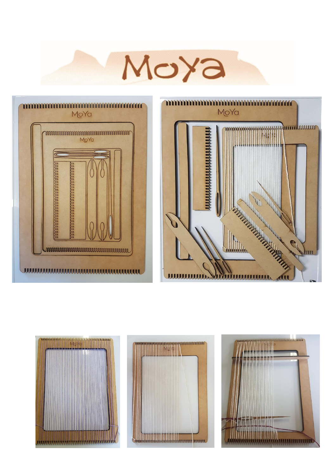





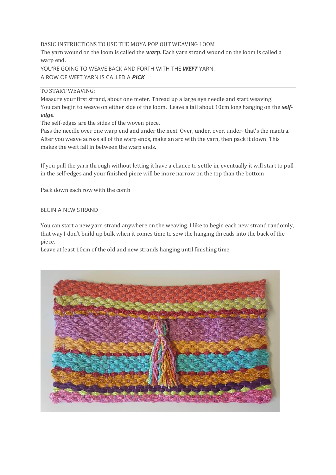## BASIC INSTRUCTIONS TO USE THE MOYA POP OUT WEAVING LOOM

The yarn wound on the loom is called the *warp.* Each yarn strand wound on the loom is called a warp end.

YOU'RE GOING TO WEAVE BACK AND FORTH WITH THE *WEFT* YARN. A ROW OF WEFT YARN IS CALLED A *PICK.*

## TO START WEAVING:

Measure your first strand, about one meter. Thread up a large eye needle and start weaving! You can begin to weave on either side of the loom. Leave a tail about 10cm long hanging on the *selfedge*.

The self-edges are the sides of the woven piece.

Pass the needle over one warp end and under the next. Over, under, over, under- that's the mantra. After you weave across all of the warp ends, make an arc with the yarn, then pack it down. This makes the weft fall in between the warp ends.

If you pull the yarn through without letting it have a chance to settle in, eventually it will start to pull in the self-edges and your finished piece will be more narrow on the top than the bottom

Pack down each row with the comb

## BEGIN A NEW STRAND

.

You can start a new yarn strand anywhere on the weaving. I like to begin each new strand randomly, that way I don't build up bulk when it comes time to sew the hanging threads into the back of the piece.

Leave at least 10cm of the old and new strands hanging until finishing time

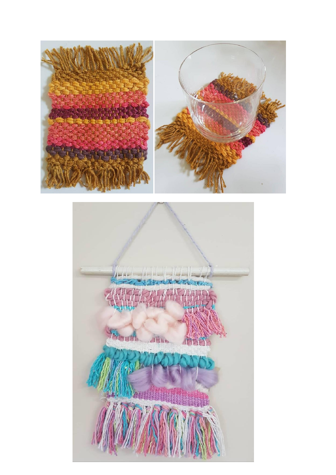![](_page_2_Picture_0.jpeg)

![](_page_2_Picture_1.jpeg)